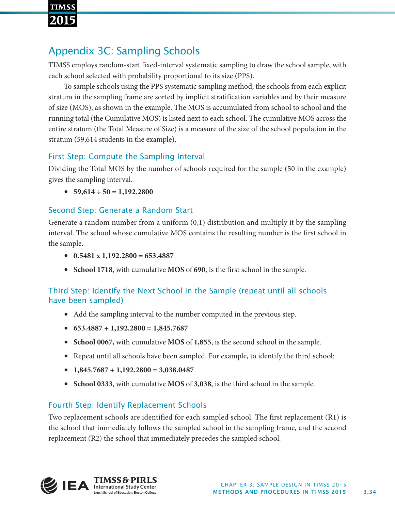

# Appendix 3C: Sampling Schools

TIMSS employs random-start fixed-interval systematic sampling to draw the school sample, with each school selected with probability proportional to its size (PPS).

To sample schools using the PPS systematic sampling method, the schools from each explicit stratum in the sampling frame are sorted by implicit stratification variables and by their measure of size (MOS), as shown in the example. The MOS is accumulated from school to school and the running total (the Cumulative MOS) is listed next to each school. The cumulative MOS across the entire stratum (the Total Measure of Size) is a measure of the size of the school population in the stratum (59,614 students in the example).

## First Step: Compute the Sampling Interval

Dividing the Total MOS by the number of schools required for the sample (50 in the example) gives the sampling interval.

 $\bullet$  59,614 ÷ 50 = 1,192.2800

### Second Step: Generate a Random Start

Generate a random number from a uniform  $(0,1)$  distribution and multiply it by the sampling interval. The school whose cumulative MOS contains the resulting number is the first school in the sample.

- **0.5481 x 1,192.2800 = 653.4887**
- **School 1718**, with cumulative **MOS** of **690**, is the first school in the sample.

### Third Step: Identify the Next School in the Sample (repeat until all schools have been sampled)

- Add the sampling interval to the number computed in the previous step.
- **653.4887 + 1,192.2800 = 1,845.7687**
- **School 0067,** with cumulative **MOS** of **1,855**, is the second school in the sample.
- Repeat until all schools have been sampled. For example, to identify the third school:
- **1,845.7687 + 1,192.2800 = 3,038.0487**
- **School 0333**, with cumulative **MOS** of **3,038**, is the third school in the sample.

### Fourth Step: Identify Replacement Schools

Two replacement schools are identified for each sampled school. The first replacement (R1) is the school that immediately follows the sampled school in the sampling frame, and the second replacement (R2) the school that immediately precedes the sampled school.